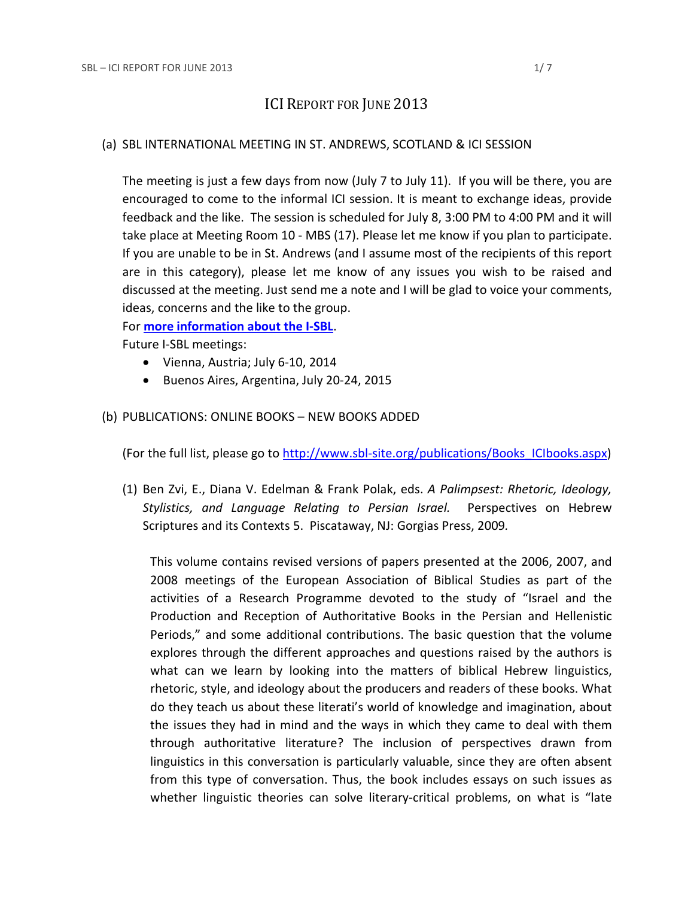## ICI REPORT FOR JUNE 2013

#### (a) SBL INTERNATIONAL MEETING IN ST. ANDREWS, SCOTLAND & ICI SESSION

The meeting is just a few days from now (July 7 to July 11). If you will be there, you are encouraged to come to the informal ICI session. It is meant to exchange ideas, provide feedback and the like. The session is scheduled for July 8, 3:00 PM to 4:00 PM and it will take place at Meeting Room 10 - MBS (17). Please let me know if you plan to participate. If you are unable to be in St. Andrews (and I assume most of the recipients of this report are in this category), please let me know of any issues you wish to be raised and discussed at the meeting. Just send me a note and I will be glad to voice your comments, ideas, concerns and the like to the group.

For **[more information about the I-SBL](http://www.sbl-site.org/meetings/Internationalmeeting.aspx)**.

Future I-SBL meetings:

- Vienna, Austria; July 6-10, 2014
- Buenos Aires, Argentina, July 20-24, 2015

#### (b) PUBLICATIONS: ONLINE BOOKS – NEW BOOKS ADDED

(For the full list, please go to [http://www.sbl-site.org/publications/Books\\_ICIbooks.aspx\)](http://www.sbl-site.org/publications/Books_ICIbooks.aspx)

(1) Ben Zvi, E., Diana V. Edelman & Frank Polak, eds. *A Palimpsest: Rhetoric, Ideology, Stylistics, and Language Relating to Persian Israel.* Perspectives on Hebrew Scriptures and its Contexts 5. Piscataway, NJ: Gorgias Press, 2009*.*

This volume contains revised versions of papers presented at the 2006, 2007, and 2008 meetings of the European Association of Biblical Studies as part of the activities of a Research Programme devoted to the study of "Israel and the Production and Reception of Authoritative Books in the Persian and Hellenistic Periods," and some additional contributions. The basic question that the volume explores through the different approaches and questions raised by the authors is what can we learn by looking into the matters of biblical Hebrew linguistics, rhetoric, style, and ideology about the producers and readers of these books. What do they teach us about these literati's world of knowledge and imagination, about the issues they had in mind and the ways in which they came to deal with them through authoritative literature? The inclusion of perspectives drawn from linguistics in this conversation is particularly valuable, since they are often absent from this type of conversation. Thus, the book includes essays on such issues as whether linguistic theories can solve literary-critical problems, on what is "late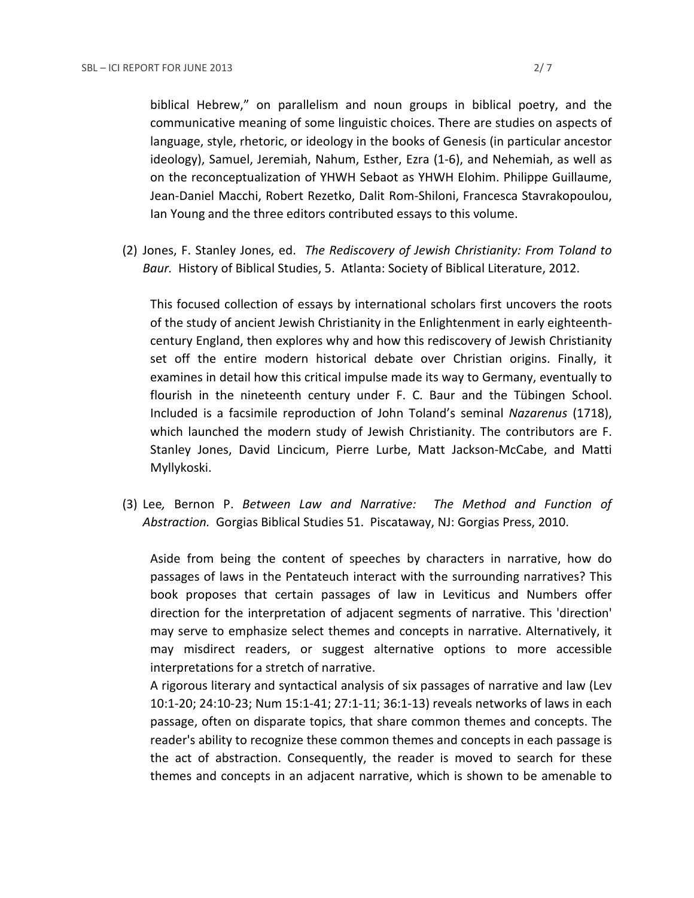biblical Hebrew," on parallelism and noun groups in biblical poetry, and the communicative meaning of some linguistic choices. There are studies on aspects of language, style, rhetoric, or ideology in the books of Genesis (in particular ancestor ideology), Samuel, Jeremiah, Nahum, Esther, Ezra (1-6), and Nehemiah, as well as on the reconceptualization of YHWH Sebaot as YHWH Elohim. Philippe Guillaume, Jean-Daniel Macchi, Robert Rezetko, Dalit Rom-Shiloni, Francesca Stavrakopoulou, Ian Young and the three editors contributed essays to this volume.

(2) Jones, F. Stanley Jones, ed. *The Rediscovery of Jewish Christianity: From Toland to Baur.* History of Biblical Studies, 5. Atlanta: Society of Biblical Literature, 2012.

This focused collection of essays by international scholars first uncovers the roots of the study of ancient Jewish Christianity in the Enlightenment in early eighteenthcentury England, then explores why and how this rediscovery of Jewish Christianity set off the entire modern historical debate over Christian origins. Finally, it examines in detail how this critical impulse made its way to Germany, eventually to flourish in the nineteenth century under F. C. Baur and the Tübingen School. Included is a facsimile reproduction of John Toland's seminal *Nazarenus* (1718), which launched the modern study of Jewish Christianity. The contributors are F. Stanley Jones, David Lincicum, Pierre Lurbe, Matt Jackson-McCabe, and Matti Myllykoski.

(3) Lee*,* Bernon P. *Between Law and Narrative: The Method and Function of Abstraction.* Gorgias Biblical Studies 51. Piscataway, NJ: Gorgias Press, 2010.

Aside from being the content of speeches by characters in narrative, how do passages of laws in the Pentateuch interact with the surrounding narratives? This book proposes that certain passages of law in Leviticus and Numbers offer direction for the interpretation of adjacent segments of narrative. This 'direction' may serve to emphasize select themes and concepts in narrative. Alternatively, it may misdirect readers, or suggest alternative options to more accessible interpretations for a stretch of narrative.

A rigorous literary and syntactical analysis of six passages of narrative and law (Lev 10:1-20; 24:10-23; Num 15:1-41; 27:1-11; 36:1-13) reveals networks of laws in each passage, often on disparate topics, that share common themes and concepts. The reader's ability to recognize these common themes and concepts in each passage is the act of abstraction. Consequently, the reader is moved to search for these themes and concepts in an adjacent narrative, which is shown to be amenable to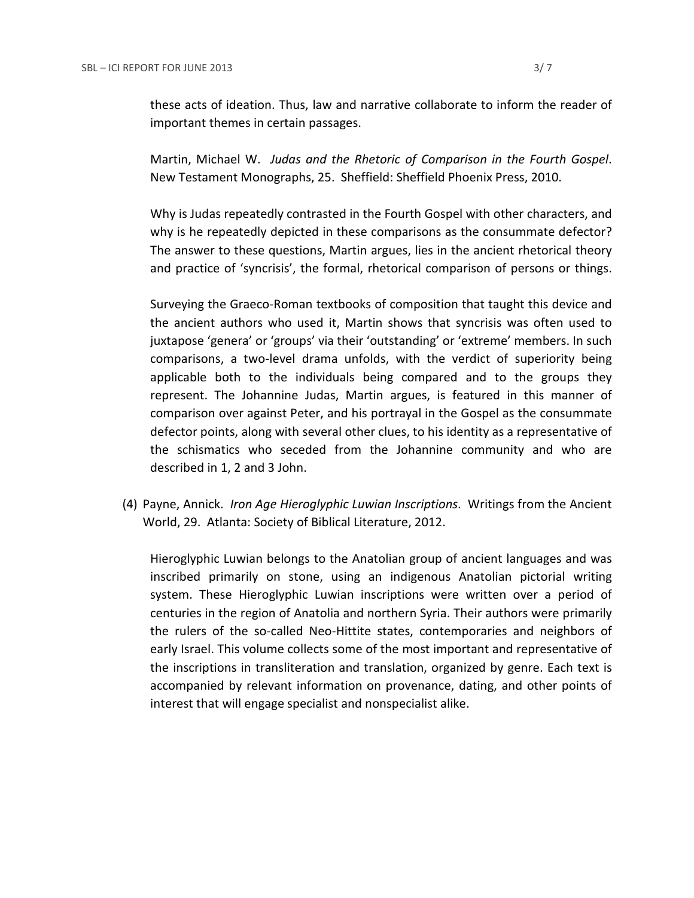these acts of ideation. Thus, law and narrative collaborate to inform the reader of important themes in certain passages.

Martin, Michael W. *Judas and the Rhetoric of Comparison in the Fourth Gospel*. New Testament Monographs, 25. Sheffield: Sheffield Phoenix Press, 2010.

Why is Judas repeatedly contrasted in the Fourth Gospel with other characters, and why is he repeatedly depicted in these comparisons as the consummate defector? The answer to these questions, Martin argues, lies in the ancient rhetorical theory and practice of 'syncrisis', the formal, rhetorical comparison of persons or things.

Surveying the Graeco-Roman textbooks of composition that taught this device and the ancient authors who used it, Martin shows that syncrisis was often used to juxtapose 'genera' or 'groups' via their 'outstanding' or 'extreme' members. In such comparisons, a two-level drama unfolds, with the verdict of superiority being applicable both to the individuals being compared and to the groups they represent. The Johannine Judas, Martin argues, is featured in this manner of comparison over against Peter, and his portrayal in the Gospel as the consummate defector points, along with several other clues, to his identity as a representative of the schismatics who seceded from the Johannine community and who are described in 1, 2 and 3 John.

(4) Payne, Annick. *Iron Age Hieroglyphic Luwian Inscriptions*. Writings from the Ancient World, 29. Atlanta: Society of Biblical Literature, 2012.

Hieroglyphic Luwian belongs to the Anatolian group of ancient languages and was inscribed primarily on stone, using an indigenous Anatolian pictorial writing system. These Hieroglyphic Luwian inscriptions were written over a period of centuries in the region of Anatolia and northern Syria. Their authors were primarily the rulers of the so-called Neo-Hittite states, contemporaries and neighbors of early Israel. This volume collects some of the most important and representative of the inscriptions in transliteration and translation, organized by genre. Each text is accompanied by relevant information on provenance, dating, and other points of interest that will engage specialist and nonspecialist alike.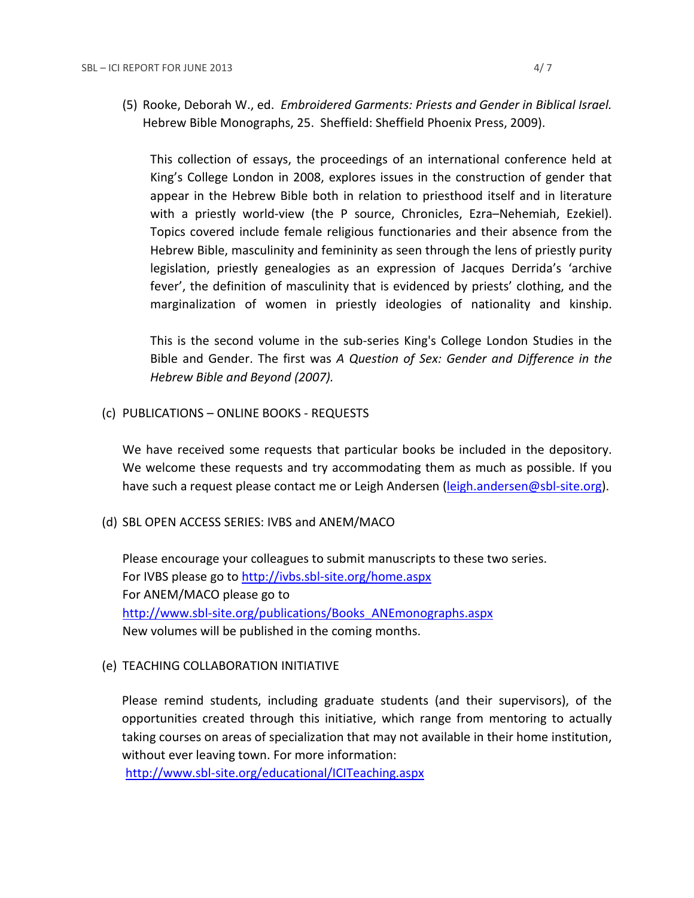(5) Rooke, Deborah W., ed. *Embroidered Garments: Priests and Gender in Biblical Israel.* Hebrew Bible Monographs, 25. Sheffield: Sheffield Phoenix Press, 2009).

This collection of essays, the proceedings of an international conference held at King's College London in 2008, explores issues in the construction of gender that appear in the Hebrew Bible both in relation to priesthood itself and in literature with a priestly world-view (the P source, Chronicles, Ezra–Nehemiah, Ezekiel). Topics covered include female religious functionaries and their absence from the Hebrew Bible, masculinity and femininity as seen through the lens of priestly purity legislation, priestly genealogies as an expression of Jacques Derrida's 'archive fever', the definition of masculinity that is evidenced by priests' clothing, and the marginalization of women in priestly ideologies of nationality and kinship.

This is the second volume in the sub-series King's College London Studies in the Bible and Gender. The first was *A Question of Sex: Gender and Difference in the Hebrew Bible and Beyond (2007).*

(c) PUBLICATIONS – ONLINE BOOKS - REQUESTS

We have received some requests that particular books be included in the depository. We welcome these requests and try accommodating them as much as possible. If you have such a request please contact me or Leigh Andersen [\(leigh.andersen@sbl-site.org\)](mailto:leigh.andersen@sbl-site.org).

(d) SBL OPEN ACCESS SERIES: IVBS and ANEM/MACO

Please encourage your colleagues to submit manuscripts to these two series. For IVBS please go to<http://ivbs.sbl-site.org/home.aspx> For ANEM/MACO please go to [http://www.sbl-site.org/publications/Books\\_ANEmonographs.aspx](http://www.sbl-site.org/publications/Books_ANEmonographs.aspx) New volumes will be published in the coming months.

## (e) TEACHING COLLABORATION INITIATIVE

Please remind students, including graduate students (and their supervisors), of the opportunities created through this initiative, which range from mentoring to actually taking courses on areas of specialization that may not available in their home institution, without ever leaving town. For more information:

<http://www.sbl-site.org/educational/ICITeaching.aspx>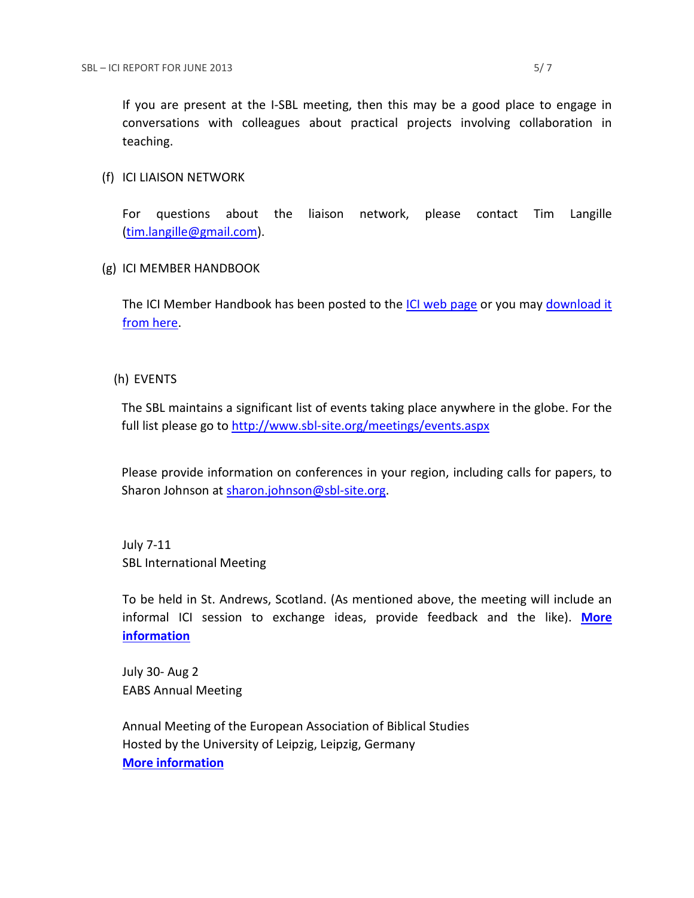#### (f) ICI LIAISON NETWORK

For questions about the liaison network, please contact Tim Langille [\(tim.langille@gmail.com\)](mailto:tim.langille@gmail.com).

## (g) ICI MEMBER HANDBOOK

The ICI Member Handbook has been posted to the [ICI web page](http://www.sbl-site.org/InternationalCoopInitiative.aspx) or you may [download it](http://www.sbl-site.org/assets/pdfs/ICI-member-handbook.pdf)  from [here.](http://www.sbl-site.org/assets/pdfs/ICI-member-handbook.pdf)

## (h) EVENTS

The SBL maintains a significant list of events taking place anywhere in the globe. For the full list please go to<http://www.sbl-site.org/meetings/events.aspx>

Please provide information on conferences in your region, including calls for papers, to Sharon Johnson at [sharon.johnson@sbl-site.org.](mailto:sharon.johnson@sbl-site.org)

July 7-11 SBL International Meeting

To be held in St. Andrews, Scotland. (As mentioned above, the meeting will include an informal ICI session to exchange ideas, provide feedback and the like). **[More](http://www.sbl-site.org/meetings/Internationalmeeting.aspx)  [information](http://www.sbl-site.org/meetings/Internationalmeeting.aspx)**

July 30- Aug 2 EABS Annual Meeting

Annual Meeting of the European Association of Biblical Studies Hosted by the University of Leipzig, Leipzig, Germany **[More information](http://www.eabs.net/)**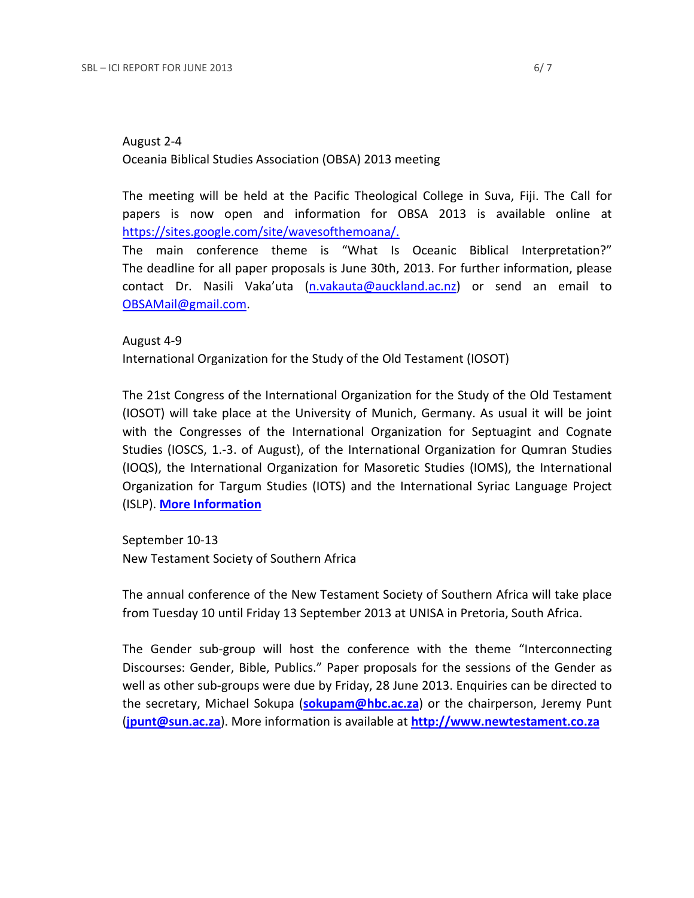The meeting will be held at the Pacific Theological College in Suva, Fiji. The Call for papers is now open and information for OBSA 2013 is available online at [https://sites.google.com/site/wavesofthemoana/.](https://sites.google.com/site/wavesofthemoana/)

The main conference theme is "What Is Oceanic Biblical Interpretation?" The deadline for all paper proposals is June 30th, 2013. For further information, please contact Dr. Nasili Vaka'uta (n.vakauta@auckland.ac.nz) or send an email to OBSAMail@gmail.com.

# August 4-9 International Organization for the Study of the Old Testament (IOSOT)

The 21st Congress of the International Organization for the Study of the Old Testament (IOSOT) will take place at the University of Munich, Germany. As usual it will be joint with the Congresses of the International Organization for Septuagint and Cognate Studies (IOSCS, 1.-3. of August), of the International Organization for Qumran Studies (IOQS), the International Organization for Masoretic Studies (IOMS), the International Organization for Targum Studies (IOTS) and the International Syriac Language Project (ISLP). **[More Information](http://www.en.iosot2013.evtheol.uni-muenchen.de/index.html)**

September 10-13 New Testament Society of Southern Africa

The annual conference of the New Testament Society of Southern Africa will take place from Tuesday 10 until Friday 13 September 2013 at UNISA in Pretoria, South Africa.

The Gender sub-group will host the conference with the theme "Interconnecting Discourses: Gender, Bible, Publics." Paper proposals for the sessions of the Gender as well as other sub-groups were due by Friday, 28 June 2013. Enquiries can be directed to the secretary, Michael Sokupa (**[sokupam@hbc.ac.za](mailto:sokupam@hbc.ac.za)**) or the chairperson, Jeremy Punt (**[jpunt@sun.ac.za](mailto:jpunt@sun.ac.za)**). More information is available at **[http://www.newtestament.co.za](http://www.newtestament.co.za/)**